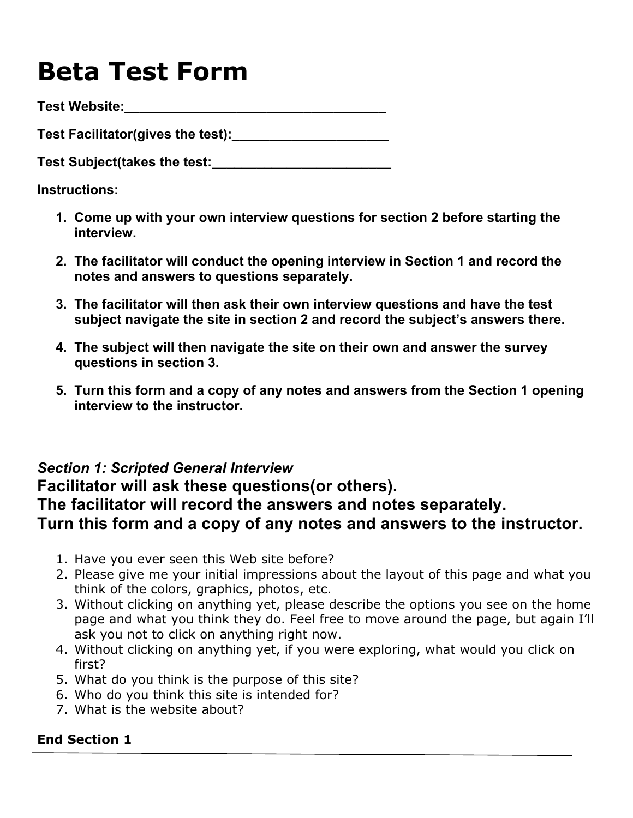# **Beta Test Form**

**Test Website:\_\_\_\_\_\_\_\_\_\_\_\_\_\_\_\_\_\_\_\_\_\_\_\_\_\_\_\_\_\_\_\_\_\_\_**

**Test Facilitator(gives the test):\_\_\_\_\_\_\_\_\_\_\_\_\_\_\_\_\_\_\_\_\_**

**Test Subject(takes the test:\_\_\_\_\_\_\_\_\_\_\_\_\_\_\_\_\_\_\_\_\_\_\_\_**

**Instructions:**

- **1. Come up with your own interview questions for section 2 before starting the interview.**
- **2. The facilitator will conduct the opening interview in Section 1 and record the notes and answers to questions separately.**
- **3. The facilitator will then ask their own interview questions and have the test subject navigate the site in section 2 and record the subject's answers there.**
- **4. The subject will then navigate the site on their own and answer the survey questions in section 3.**
- **5. Turn this form and a copy of any notes and answers from the Section 1 opening interview to the instructor.**

# *Section 1: Scripted General Interview*

# **Facilitator will ask these questions(or others). The facilitator will record the answers and notes separately. Turn this form and a copy of any notes and answers to the instructor.**

- 1. Have you ever seen this Web site before?
- 2. Please give me your initial impressions about the layout of this page and what you think of the colors, graphics, photos, etc.
- 3. Without clicking on anything yet, please describe the options you see on the home page and what you think they do. Feel free to move around the page, but again I'll ask you not to click on anything right now.
- 4. Without clicking on anything yet, if you were exploring, what would you click on first?
- 5. What do you think is the purpose of this site?
- 6. Who do you think this site is intended for?
- 7. What is the website about?

# **End Section 1**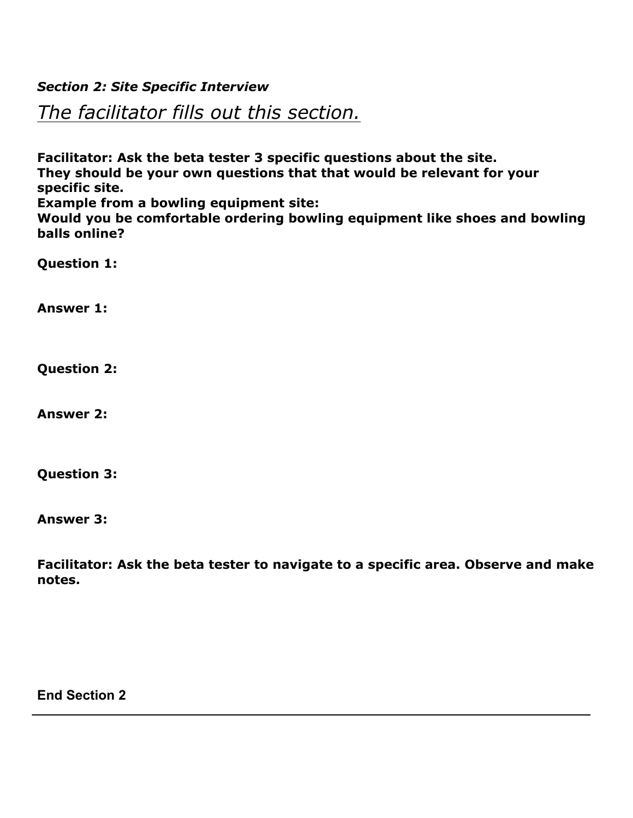# *Section 2: Site Specific Interview*

*The facilitator fills out this section.*

**Facilitator: Ask the beta tester 3 specific questions about the site. They should be your own questions that that would be relevant for your specific site.**

**Example from a bowling equipment site:**

**Would you be comfortable ordering bowling equipment like shoes and bowling balls online?**

**Question 1:**

**Answer 1:**

**Question 2:**

**Answer 2:**

**Question 3:**

**Answer 3:**

**Facilitator: Ask the beta tester to navigate to a specific area. Observe and make notes.**

**End Section 2**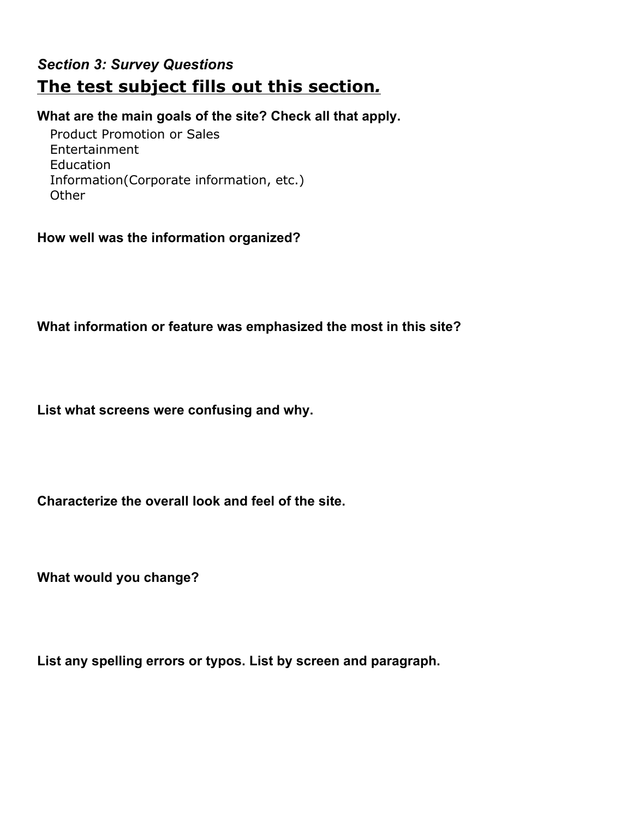# *Section 3: Survey Questions* **The test subject fills out this section***.*

#### **What are the main goals of the site? Check all that apply.**

 Product Promotion or Sales Entertainment Education Information(Corporate information, etc.) **Other** 

#### **How well was the information organized?**

**What information or feature was emphasized the most in this site?**

**List what screens were confusing and why.**

**Characterize the overall look and feel of the site.**

**What would you change?**

**List any spelling errors or typos. List by screen and paragraph.**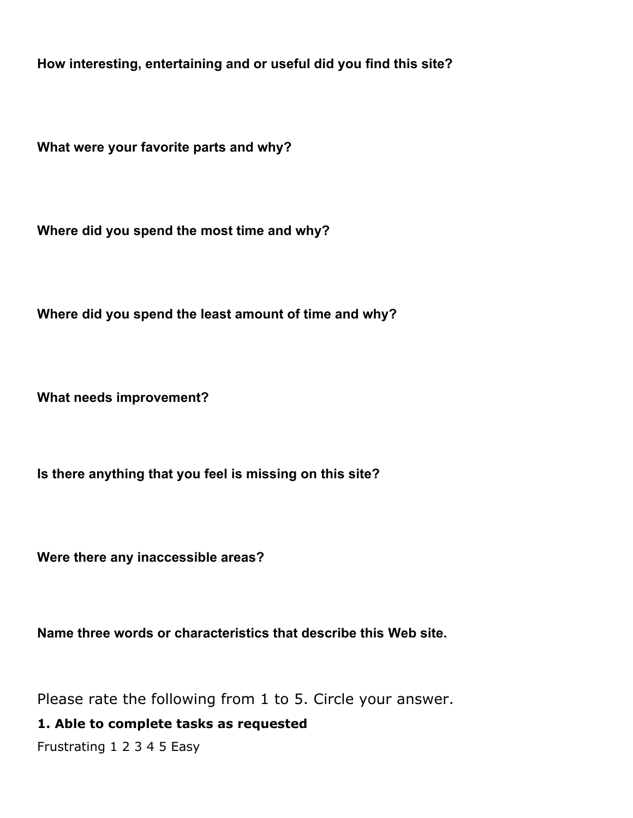**How interesting, entertaining and or useful did you find this site?**

**What were your favorite parts and why?**

**Where did you spend the most time and why?**

**Where did you spend the least amount of time and why?**

**What needs improvement?**

**Is there anything that you feel is missing on this site?**

**Were there any inaccessible areas?**

**Name three words or characteristics that describe this Web site.**

Please rate the following from 1 to 5. Circle your answer.

**1. Able to complete tasks as requested**

Frustrating 1 2 3 4 5 Easy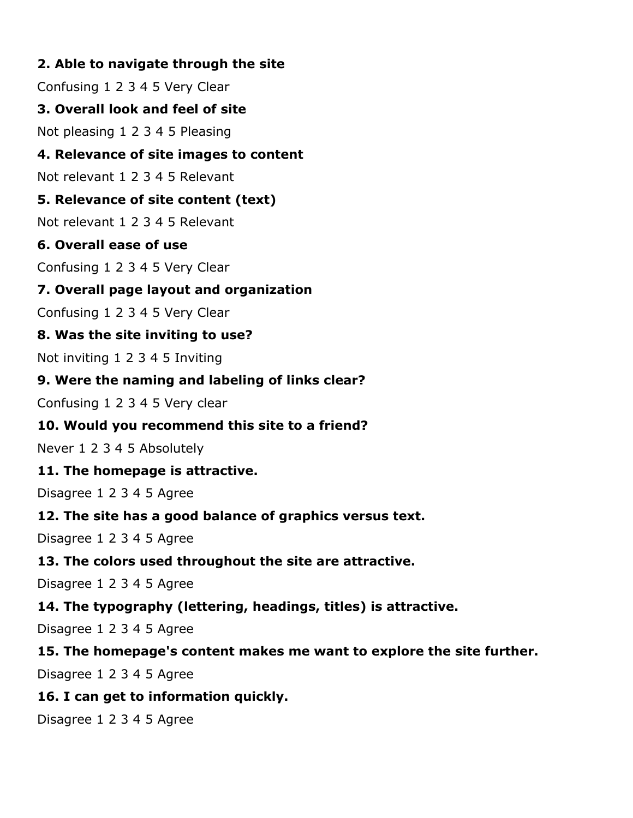# **2. Able to navigate through the site**

Confusing 1 2 3 4 5 Very Clear

#### **3. Overall look and feel of site**

Not pleasing 1 2 3 4 5 Pleasing

#### **4. Relevance of site images to content**

Not relevant 1 2 3 4 5 Relevant

# **5. Relevance of site content (text)**

Not relevant 1 2 3 4 5 Relevant

# **6. Overall ease of use**

Confusing 1 2 3 4 5 Very Clear

# **7. Overall page layout and organization**

Confusing 1 2 3 4 5 Very Clear

# **8. Was the site inviting to use?**

Not inviting 1 2 3 4 5 Inviting

# **9. Were the naming and labeling of links clear?**

Confusing 1 2 3 4 5 Very clear

# **10. Would you recommend this site to a friend?**

Never 1 2 3 4 5 Absolutely

# **11. The homepage is attractive.**

Disagree 1 2 3 4 5 Agree

# **12. The site has a good balance of graphics versus text.**

Disagree 1 2 3 4 5 Agree

# **13. The colors used throughout the site are attractive.**

Disagree 1 2 3 4 5 Agree

# **14. The typography (lettering, headings, titles) is attractive.**

Disagree 1 2 3 4 5 Agree

# **15. The homepage's content makes me want to explore the site further.**

Disagree 1 2 3 4 5 Agree

# **16. I can get to information quickly.**

Disagree 1 2 3 4 5 Agree